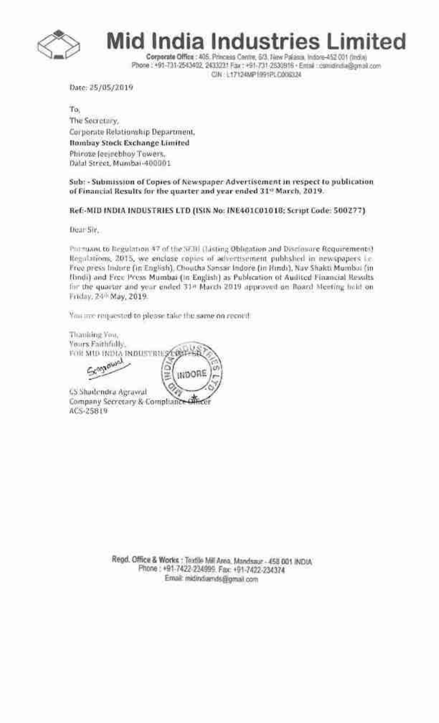

Mid India Industries Limited

Corporate Office : 405. Princess Centre, 6/3, New Palasca, Indone-452 001 (India) Phone : +91-731-2543402, 2433221 Fax : +91-731-2630816 - Entail : camidindia@amail.com CIN L17124MP1991PLC008324

Date: 25/05/2019

To: The Secretary. Corporate Relationship Department, Bombay Stock Exchange Limited Phiroze Jesischhov Towers. Dalal Street, Mumbai-400001

Sub: - Submission of Copies of Newspaper Advertisement in respect to publication of Financial Results for the quarter and year ended 31° March, 2019.

Ref - MID INDIA INDUSTRIES LTD (ISIN No: INE401C0101B; Script Code: 500277)

Dear Sir.

Portuant to Begulation 47 of the W.Bi (Listing Obligation and Disclosure Requirements) Regulations, 2015, we enclose copies of advertisement published in newspapers Le-Free press Indure (in English), Choutha Sansar Indore (in Hindi), Nav Shakti Mumbui (in (lindi) and Free Press Mumbai (In English) as Publication of Audited Financial Results for the quarter and year ended 314 March 2019 approved an Board Meeting hold on Friday, 24<sup>th</sup> May, 2019.

You are requested to please take the same on record.

Thanking You, Yours Faithfully. FOR MID INDIA INDUSTRIES ORD Seannound r. INDORE

**65 Shadendra Agraved** Company Secretary & Compliance office ACS-25819

> Regd. Office & Works : Textile Mill Area, Mandsaur - 458 001 INDIA Phone: +91-7422-224999. Fax: +91-7422-234374 Email: midindiands@gmail.com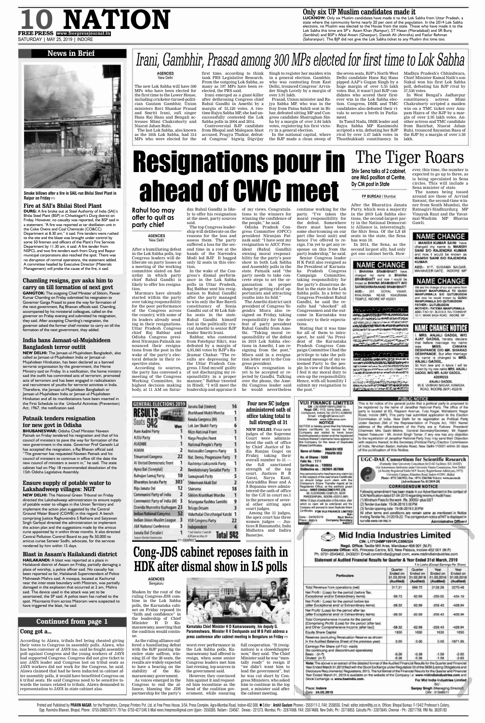**FP BUREAU /** Mumbai

After the Bharatiya Janata Party, which won a majority in the 2019 Lok Sabha elections, the second-largest party in the National Democratic Alliance is, interestingly, the Shiv Sena. Of the LS 48

has won 18. In 2014, the Sena, as the second largest ally, had only got one cabinet berth. How-

# **CHANGE**

**BHAVANA BRAMHBHATT** have changed my name to BHAVNA BRAMHBHATT and now I would be

ever, this time, the number is expected to go up to three, as is being speculated in Sena circles. This will include a Sena minister of state.

The names being tossed around are those of Arvind Sawant, the second-time winner from South Mumbai, the Ratnagiri-Sindhurdurg MP Vinayak Raut and the Yavatmal-Washim MP Bhavna Gawli.

# **NAME CHANGE**

MANISH KUMAR SAINI have changed my name to MANISH SAINI S/O RAJENDRA KUMAR and now I would be known as **MANISH SAINI SID RAJENDRA** KUMAR

ADD:- 917, SUDAMA NAGAR MAHAVEER GATE. INDORE MP

# **NAME CHANGE**

We are the change of our son name from MANPURWALA SIO GUTUBUODIN and ripe he would known by QUSAI MANPURWALA SIO QUTUBUCIDIN FATHER- QUTUBUODIN MOTHER-: FATEMA MANPURWALA ADDI-F.NO.101, ELOCK-E, RAJ TOVINGHIR 10-11, MANIK BAGH ROAD, INDORE MP

# **Cong got a...**

According to Alawa, tribals feel being cheated giving their votes to Congress in assembly polls. Alawa, who has been convener of JAYS too, said he fought assembly poll against Congress and the young workers of JAYS had supported Congress. Congress did not give ticket to any JAYS leader and Congress lost on tribal seats as JAYS workers did not work for the Congress, he said. Alawa claimed that had he been inducted in cabinet after assembly polls, it would have benefitted Congress on 6 tribal seats. He said Congress need to be sensitive towards the issues related to tribals. Alawa demanded to representation to JAYS in state cabinet also.

# Continued from page 1

**BHUBANESWAR: Odisha Chief Minister Naveen** Patnaik on Friday tendered his resignation and that of his council of ministers to pave the way for formation of the new government in the state. Governor Prof Ganeshi Lal has accepted the resignation, a Raj Bhavan official said. "The governor has requested Naveen Patnaik and his council of ministers to continue in office till the date the new council of ministers is sworn in," he said. The state cabinet had on May 18 recommended dissolution of the 15th Odisha Legislative Assembly.

# **10 NATION Only six UP Muslim candidates made it FREE PRESS** www.freepressjournal.in SATURDAY | MAY 25, 2019 | INDORE

**LUCKNOW:** Only six Muslim candidates have made it to the Lok Sabha from Uttar Pradesh, a state where the community forms nearly 20 per cent of the population. In the 2014 Lok Sabha elections, no Muslim was elected to the House from the state. Those who have made it to the Lok Sabha this time are SP's Azam Khan (Rampur), ST Hasan (Moradabad) and SR Burq (Sambhal) and BSP's Afzal Ansari (Ghazipur), Danish Ali (Amroha) and Fazlur Rehman (Saharanpur). The BJP did not give the Lok Sabha ticket to any Muslim this time too.

# **News in Brief**



# **Chamling resigns, guv asks him to carry on till formation of next govt**

**GANGTOK:** The outgoing Chief Minister of Sikkim, Pawan Kumar Chamling on Friday submitted his resignation to Governor Ganga Prasad to pave the way for formation of the next government, Raj Bhawan officials said. Chamling, accompanied by his ministerial colleagues, called on the governor on Friday evening and submitted his resignation, they said. After accepting Chamling's resignation, the governor asked the former chief minister to carry on till the formation of the next government, they added.

# **India bans Jamaat-ul-Mujahideen Bangladesh terror outfit**

**Smoke billows after a fire in SAIL-run Bhilai Steel Plant in Raipur on Friday PTI** 

**NEW DELHI:** The Jamaat-ul-Mujahideen Bangladesh, also called as Jamaat-ul-Mujahideen India or Jamaat-ul-Mujahideen Hindustan, has been declared as a banned terrorist organisation by the government, the Home Ministry said on Friday. In a notification, the home ministry said the outfit has committed acts of terrorism, promoted acts of terrorism and has been engaged in radicalisation and recruitment of youths for terrorist activities in India. Therefore, the Jamaat-ul-Mujahideen Bangladesh or Jamaat-ul-Mujahideen India or Jamaat-ul-Mujahideen Hindustan and all its manifestations have been inserted in the First Schedule to the Unlawful Activities (Prevention) Act, 1967, the notification said.

# **Patnaik tenders resignation for new govt in Odisha**

# **Ensure supply of potable water to Lakshadweep villages: NGT**

**NEW DELHI:** The National Green Tribunal on Friday directed the Lakshadweep administration to ensure supply of potable water to villages in the Union Territory and implement the action plan suggested by the Central Ground Water Board (CGWB) in this regard. A bench comprising Justice Raghuvendra S Rathore and Satyawan Singh Garbyal directed the administration to implement the action plan and the suggestions made by the amicus curie appointed by it within three months. It also directed Central Pollution Control Board to pay Rs 50,000 to amicus curiae Sameer Sodhi, advocate, for the services rendered by him within 15 days.

# **Blast in Assam's Hailakandi district**

**HAILAKANDI:** A blast was reported at a place in Hailakandi district of Assam on Friday, partially damaging a place of worship, a police officer said. No casualty has been reported so far, Hailakandi Superintendent of Police Mohneesh Mishra said. A mosque, located at Kachurtal near the inter-state boundary with Mizoram, was partially damaged in the explosion that occurred at 2 am, Mishra said. The device used in the attack was yet to be ascertained, the SP said. A police team has rushed to the spot. Miscreants from across Mizoram were suspected to have triggered the blast, he said.

# **Fire at SAI's Bhilai Steel Plant**

**DURG:** A fire broke out at Steel Authority of India (SAI)'s Bhilai Steel Plant (BSP) in Chhattisgarh's Durg district on Friday. However, no casualty was reported, the BSP said in a statement. "A fire was reported at tar distillation unit in the Coke Ovens and Coal Chemicals (CO&CC) Department at 8.30 am," it said. Fire tenders were rushed to the site and the blaze was brought under control by some 50 firemen and officers of the Plant's Fire Services Department by 11.30 am, it said. A fire tender from NSPCL and two fire tenders each from Durg and Raipur municipal corporations also reached the spot. There was no disruption of normal operations, the statement added. A committee headed by Executive Director (Materials Management) will probe the cause of the fire, it said.

seats in the state, the Sena party leadership," he said.

## **AGENCIES** New Delhi

The new Lok Sabha will have 300 MPs who have been elected for the first time to the Lower House, including cricketer-turned-politician Gautam Gambhir, Union ministers Ravi Shankar Prasad and Smriti Irani, sufi singer Hans Raj Hans and Bengali actresses Mimi Chakraborty and Nusrat Jahan Ruhi.

Minister H D Kumaraswamy, asserting that the coalition would continue.

The last Lok Sabha, also known as the 16th Lok Sabha, had 314 MPs who were elected for the

tank PRS Legislative Research. From the outgoing Lok Sabha, as many as 197 MPs have been reelected, the PRS said.

nation) is a closedchapter now," they said. The Chief Minister said he was "mentally ready" to resign if "we didn't want him to lead the government", but he was cut short by Congress Ministers, who asked him to continue in the top post, a minister said after **Parameshwara, Minister R V Deshpande and M B Patil address a press conference after cabinet meeting in Bengaluru on Friday**  $PTI$ 

|                                                                                                                                                                                                                                                                                                                                                                                                                                                                          | <b><i><u>Liverproperty</u></i></b> | <b>TAXABLE CALLS</b> | <b>ENVIRONMENTS</b>                               | <b>STARTING EXISTING</b> |
|--------------------------------------------------------------------------------------------------------------------------------------------------------------------------------------------------------------------------------------------------------------------------------------------------------------------------------------------------------------------------------------------------------------------------------------------------------------------------|------------------------------------|----------------------|---------------------------------------------------|--------------------------|
| Total Revenue from operations (net)                                                                                                                                                                                                                                                                                                                                                                                                                                      | 317.21                             | 666.72               | 2128.26                                           | 2270.48                  |
| Net Profit / (Loss) for the period (before Tax.<br>Exceptional and/or Extraordinary hems)                                                                                                                                                                                                                                                                                                                                                                                | $-59.73$                           | 42.69                | $-259.05$                                         | $-434.19$                |
| Net Profit / (Loux) for the period before tax<br>(after Exceptional and/ or Extraordinary items)                                                                                                                                                                                                                                                                                                                                                                         | $-59.32$                           | 62.89                | $-258.43$                                         | 428.94                   |
| Net Profit/ (Loss) for the period after tax<br>(atter Exceptional and/ or Extraprdinary items)                                                                                                                                                                                                                                                                                                                                                                           | $-59.32$                           | -62.69               | $-258.43$                                         | 428.94                   |
| Total Comprehensive Income for the period<br>[Comprising Profit/ (Loss) for the period (after tax)<br>and Other Comprehensive Income (after tax)]                                                                                                                                                                                                                                                                                                                        | $-10.32$                           | -62.69               | $-258.43$                                         | $-428.94$                |
| Equity Share Capital                                                                                                                                                                                                                                                                                                                                                                                                                                                     | 1630                               | 1630                 | 1630                                              | 1630                     |
| Reserves (excluding Revaluation Reserve as shown)<br>in the Audited Balance Sheet of the previous year)                                                                                                                                                                                                                                                                                                                                                                  | 0.00                               | 0.00                 | 0.00.                                             | $-1871.95$               |
| Earnings Per Share (of ₹10/- each)<br>(for continuing and discontinued operations)<br>Basic : (in t)<br>Diluted: (in ?).                                                                                                                                                                                                                                                                                                                                                 | $-0.36$<br>$-0.36$                 | $-0.38$<br>$-0.38$   | $-1.59$<br>$-1.59$                                | $-2.63$<br>$-2.03$       |
| Note: The above is an extract of the detailed format of the Audited Financial Results for the Quarter and Financial<br>Year Ended March 31,2019 filed with the Stock Exchange under Regulation 33 of the SEBI (Listing Obligations and<br>Disclosure Requirements) Regulations, 2015. The full format of the Financial Results for the Quarter and Financial<br>Year Ended March 31, 2019 is available on the website of the Company i.e. www.midindiaindustries.com and |                                    |                      |                                                   |                          |
| Stock Exchange i.e. www.bseindla.com.                                                                                                                                                                                                                                                                                                                                                                                                                                    |                                    |                      | For Mid India Industries Limited<br>SZM-          |                          |
| Place: Indore<br>Date: 24.05.2019                                                                                                                                                                                                                                                                                                                                                                                                                                        |                                    |                      | Sanjay Singh (Managing Director)<br>DIN: 01548011 |                          |

Printed and Published by PRAVIN NAGAR, for the Proprietors, Compac Printers Pvt. Ltd. at Free Press House, 3/54, Press Complex, Agra-Mumbai Road, Indore-452 008. ■ Editor: Arshit Gautam Phones:- 2555111-2, FAX: 2558555. E Opp. Ravindra Bhawan, Bhopal, Phone: 0755-2660570/71/ 79 Fax: 0755-4271345 E-Mail news.freepress@gmail.com Ujjain:- 2550385. Ratlam:- 234567. Dewas:- 221373. Mumbai, Ph:- 22874688. New Delhi, Ph:- 23718853. Calcutta Ph:- 2

Irani emerged as a giant-killer after dethroning Congress chief Rahul Gandhi in Amethi by a margin of 55,120 votes. A twotime Rajya Sabha MP, she had unsuccessfully contested the Lok Sabha polls in 2004 and 2014.

first time, according to think Singh to register her maiden win in a general election. Gambhir, who was contesting from East Delhi, trounced Congress' Arvinder Singh Lovely by a margin of over 3.91 lakh.

Controversial BJP candidate from Bhopal and Malegaon blast accused, Pragya Thakur, defeated Congress' bigwig Digvijay

Prasad, Union minister and Rajya Sabha MP, who was in the fray from Patna Sahib seat in Bihar, defeated sitting MP and Congress candidate Shatrughan Sinha by a margin of over 2.84 lakh votes, registering his first victory in a general election.

In the national capital, where the BJP made a clean sweep of

the seven seats, BJP's North West Delhi candidate Hans Raj Hans pipped AAP's Gugan Singh by a huge margin of over 5.55 lakh votes. But, it wasn't just BJP candidates who scored their firstever win in the Lok Sabha election. Congress, DMK and TMC candidates also defeated their rivals to secure a berth in Parlia-

ment. In Tamil Nadu, DMK leader and Rajya Sabha MP Kanimozhi scripted a win, defeating her BJP rival by over 3.47 lakh votes in Thoothukkudi constituency. In

Madhya Pradesh's Chhindwara, Chief Minister Kamal Nath's son Nakul won his first Lok Sabha poll, defeating his BJP rival by 37,536 votes.

In West Bengal's Jadhavpur constituency, actress Mimi Chakraborty scripted a maiden win on a TMC ticket over Anupam Hazra of the BJP by a margin of over 2.95 lakh votes. Another actress and TMC candidate from Basirhat, Nusrat Jahan Ruhi, trounced Sayantan Basu of the BJP by a margin of over 3.50 lakh.

# Irani, Gambhir, Prasad among 300 MPs elected for first time to Lok Sabha

**Rahul too may**

**offer to quit as**

**party chief**

**AGENCIES** New Delhi

tion.

Murmurs have already started within the party over taking responsibility for the poor performance of the Congress across the country, with some of its leaders already sending in their resignations. Uttar Pradesh Congress chief Raj Babbar and

After a humiliating defeat in the Lok Sabha polls, top Congress leaders will deliberate on party losses at ship will deliberate on the reasons for the loss and assess them. The party suffered a loss for the second time in a row at the hands of the Narendra Modi led BJP. It bagged only 52 seats in this elec-

spective states.

GEN

**RE** 

a meeting of the working committee slated on Saturday in which party chief Rahul Gandhi is likely to offer his resignation. In the wake of the Congress's dismal performance in the Lok Sabha polls in Uttar Pradesh, Raj Babbar sent his resig-

day. Rahul Gandhi is likely to offer his resignation at the meet, party sources said. The top Congress leader-

Odisha Congress president Niranjan Patnaik announced their resignations from the post in the wake of the party's electoral debacle in their re-According to sources, the party has convened a leader Smriti Irani. Babbar, who contested from Fatehpur Sikri, was defeated by a margin of 4,95,065 votes by BJP's Rajkumar Chahar. "The results are depressing for the Uttar Pradesh Congress. I find myself guilty of not discharging my re-

meeting of the Congress Working Committee, its highest decision making body, at 11 AM on Satursponsibility in a proper manner," Babbar tweeted in Hindi. "I will meet the leadership and appraise it

| Œ                                     |     | Janata Dal (United)           |
|---------------------------------------|-----|-------------------------------|
|                                       |     | Jharkhand Mukti Morcha        |
|                                       |     | Kerala Congress (M)           |
| Seats                                 | Won | Lok Jan Shakti Party          |
| Aam Aadmi Party                       | ı   | Mizo National Front           |
| AJSU Party                            | 1   | Naga Peoples Front            |
| <b>ALADMK</b>                         | 1   | National People's Party       |
| <b>AIMIM</b>                          | 2   | Nationalist Congress Party    |
| Trinamool Congress                    | 22  | Nat. Demo. Progressive Party  |
| Al United Democratic Front            | 1   | Rashtriya Loktantrik Party    |
| Apna Dal (Soneylal)                   | 2   | Revolutionary Socialist Party |
| Bahujan Samaj Party                   | 10  | Samajwadi Party               |
| Bharatiya Janata Party                | 303 | Shiromani Akali Dal           |
| Biju Janata Dal                       | 12  | Shivsena                      |
| Communist Party of India              | 2   | Sikkim Krantikari Morcha      |
| Communist Party of India (M)          | 3   | Telangana Rashtra Samithi     |
| Dravida Munnetra Kazhagam 23          |     | Telugu Desam                  |
| <b>Indian National Congress</b>       | 52  | Viduthalai Chiruthaigal Katch |
| Indian Union Muslim League            | 3   | YSR Congress Party            |
| J&K National Conference               | 3   | Independent                   |
| Janata Dal (Secular)                  |     | <b>BO THINT OF</b>            |
| <b>Journal Continent Water Common</b> |     | LES Artan May 24              |

of my views. Congratulations to the winners for winning the confidence of

the people," he said. Odisha Pradesh Congress Committee (OPCC) president Niranjan Patnaik said: "I have sent my resignation to AICC President (Rahul Gandhi) owning moral responsibility for the party's poor

continue working for the party. "I've taken the moral responsibility for the defeat. Somewhere there must have been some shortcoming on our part (the local unit) and hence I've offered to resign. I'm yet to get any response on this from the

Senior Congress leader H K Patil also resigned as the President of Karnataka Pradesh Congress Campaign Committee, taking responsibility for the party's disastrous defeat in the state in the Lok

show in both Lok Sabha and Assembly polls in the state. Patnaik said "the party needs to take concrete steps to set the organisation in proper shape by getting rid of opnation to Rahul Gandhi portunists and attracting after the party managed youths into its fold." to win only the Rae Bareli The Amethi district unit constituency of Sonia president of Congress Yogendra Misra also re-Gandhi out of 80 Lok Sabha seats in the state. signed on Friday, taking Rahul Gandhi himself responsibility for the delost in the politically crufeat of party president cial Amethi to senior BJP Rahul Gandhi from Amethi. "Taking moral responsibility of the defeat in 2019 Lok Sabha elections in Amethi, I am resigning from the post," Misra said in a resignation letter sent to the Congress president. Misra's resignation is yet to be accepted or rejected by Gandhi. Talking over the phone, the Amethi Congress leader said he would nevertheless **Four new SC judges** 16 **administered oath of**  $\mathbf{1}$ **office taking total to full strength of 31 NEW DELHI:** Four new judges of the Supreme 1 Court were administered the oath of office by Chief Justice of In--5. dia Ranjan Gogoi on Friday, taking their  $\blacksquare$ overall number to 31 the full sanctioned strength of the top court. Justices B R 5 Gavai, Surya Kant,  $\overline{2}$ Aniruddha Bose and A S Bopanna were admin-18 istered the oath of office by the CJI in court no.1 in the presence of several other sitting apex  $\overline{\mathbf{3}}$ court judges. Among the 31 judges, W 1 the apex court has three  $22$ women judges — Justices R Banumathi, Indu Malhotra and Indira Banerjee.

Sabha polls. In a letter to Congress President Rahul Gandhi, he said the results had "shocked" all Congressmen and the outcome in Karnataka was contrary to their expectations.

Stating that it was time for all of them to introspect, he said "As President of the Karnataka Pradesh Congress Campaign Committee I had the privilege to take the policiesand message of my esteemed Party to the people. In view of the debacle, I feel it my moral duty to own-up the responsibility. Hence, with all humility I submit my resignation to the post."

**VIJI FINANCE LIMITED** 

GIN: LESTERWPT094PLC008715

Regd. Off.: 11/2. Usha Gars. Jacoa

Compound, Indon Tel. (0731) 4240050

Email: info@viatinance.com

Website : www.stifesence.com

**NOTICE** 

NOTICE is hereby given that the following

share certificate (s) issued by the

Corroany are stated to have been

loat/misclaced or staten and the registered

holders theroof / claiments have spplied to the Company for the house of Duplicate

**MANISH VED** 

PRAYIN VED

**Bhara Certificates** 

Name of Holder:

Fallo No.: 1111

Date: 14/05/2019

Piace: Indom

**CONTROL** 

No. of Shares : 5000

Certificate ap. : 100055

Distinctive ns.: 362001-36700

VIHAR 221. **GOVAL** KHAJRANA NEAR KHAJRANA TEMPLE, INDORE MP 452001

**Imown as BHAVNA BRAMHEHATT W/O** SARWESHWARANAND BRAMHEHATT

NOW LIVERAGE SHARE INVENTORAL SENSOR WAS STRAINED TO A der entructions de de décession en del telecomment OROZUSKI SEPASTI RUMANIMOSITE Deliverable in a complete state in the security ma date in the contracts Constitution of the Company company and the TRUE MADE EL TUDI NUMBER COMMITTE **HOW WHAT AND CONTRACT AND** 

MANCISSALUMENT ZITTI MUSICA 150/00/3/20/00/00/00 / CLISS CLIMATORIES NEWSTRIES/SYSTEMS (FACTOR SWANNERS) Sendo in comprehensive mais can compute the ් වෙනස් කිරීම සහ සම්බන්ධය කරන කිරීම කිරීම කිරීම කිරීම පිරිස SERVICE SCREEN AT MINE & CANAL AND FINES According to the term of the Accord

NAME CHAI

MRS. ANJALI GADGIL W/O AJAY GADGIL hereby declare that before marriage my name **MISS.** CHHAYA was: DESHPANDE D/O MR. SHARAD **DESHPANDE**. But after marriage my name is changed to MRS ANJALI GADGIL So from new and in future I will be known by my new rame MRS. ANJALI GADGIL W/O MR. AJAY GADGIL.

**ADDRESS** ANJALI GADGIL B5 B. VAIBHAV NAGAR, KANADIA ROAD, INDORE (M.P.) 452016.

**PUBLIC NOTICE** 

This is for notice of the general public that a political party is proposed to be registered by the name of Janadhar National Party. The office of the party is located at 63, Rajaram Avenue, Tulsi Nagar, Mahalaxmi Nagar Road, Indore (MP), This party has submitted application to the Election Commission of india, New Delhi for its registration as Political Party under Section 28A of the Representation of People Act, 1951 Name address of the office-bearers of the Party are a: Follows: President/ Chairman: Mrs. Sashi Mishra, General Secretary/Secretary Mr. Rajesh Hazari Treasurer : Mr. Arvind Singh Tomar, If any one has any objection to the registration of Janadhar National Party they may send their Objection with masons thereof, to the Secretary (Political Party) Election Commission of India, Nirvchan Sadan, Ashoka Road, New Delhi-110001 within 30 days of the publication of this Notice.



**Mid India Industries Limited** CIN: L17124MP1991PLC006324 Regd. Office: Textile Mill Area, Mandsaur-458 001 (M.P.) Corporate Office: 405, Princess Centre, 6/3, New Palasia, Indore-452 001 (M.P.) Ph. 0731-2543402, 2433231 Email:csmidindia@gmail.com, www.midindiaindustries.com Statement of Audited Financial Results for Quarter & Year Ended 31st March, 2019 If in Lakhs (Except Earnings Per Share) Quarter Quarter Year Year Ended on Ended on Ended on Ended on Particulars 31.03.2019 31.03.2018 31.03.2019 31.03.2018

Characteristic

Charling the Chambrook I

**AGENCIES**

### Bengaluru

Shaken by the rout of the ruling Congress-JDS combine in the Lok Sabha polls, the Karnataka cabinet on Friday reposed its "faith and confidence" in the leadership of Chief

As the ruling alliance suffered a humiliating defeat with the BJP painting the entire state saffron, winning 25 of the 28 seats, the results are widely expected to have a bearing on the stability of the Kumaraswamy government. As voices emerged in the Congress to end the alliance, blaming the JDS

# Resignations pour in ahead of CWC meet The Tiger Roars **Shiv Sena talks of 2 cabinet, one MoS position at Centre, Dy CM post in State**

partnership for the party's

worst ever performance in full cooperation. "It (resigthe Lok Sabha polls, Kumaraswamy had offered to resign, when some senior Congress leaders met him last evening, top sources in the government said. However, they convinced him against it and requested him tocontinue as the head of the coalition government, while ensuring the cabinet meeting.

**Cong-JDS cabinet reposes faith in HDK after dismal show in LS polls**

**Karnataka Chief Minister H D Kumaraswamy, his deputy G.**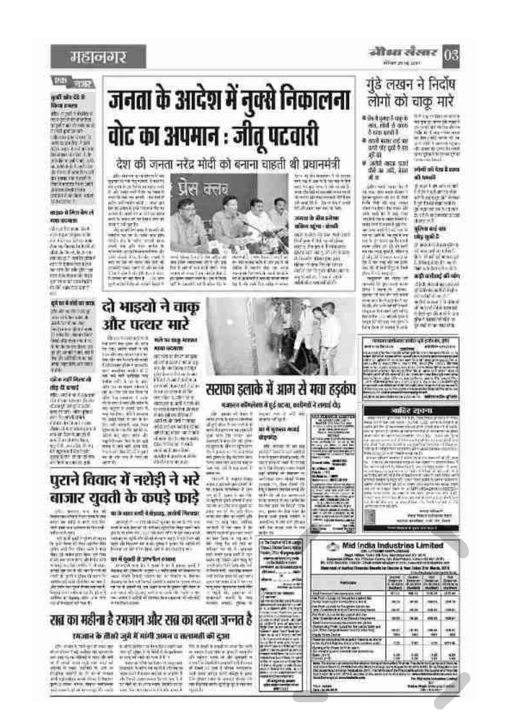# महानगर

### **PD** TR

#### unfrahr 22 B **Ricca grazzo**

alta cipati o delleno<br>ma postere e velva<br>matematica composit **UNION DATES** aga agus a chuine<br>Briann a chuide<br>Philippine an Arrest: Kivy Wright **BETWEEN** Anne Deltres<br>2003 - Carl Ville **MAVING BY** 

#### सड़क से मिता बैग ले **JOHN GOTHERN**

WARTERS AIR **COMMAND ONLINE** hasan dia 443 no amin'ny<br>Ilay ny faritr'i Katalon data-bushane<br>ming harington 49771390107823 tex (b) ale per-**CONTRACTOR** prima at mainte **GW veccant** 

दर्प घटने गांवों का क्या **MART ACTES DE S CONTRACTOR** leiner Brien Mal digital and into e e a septimiza<br>a guerra com FOR THE RELATIONS News.

#### **CRALINE DURING** dig di urest

**MILLADEW AUSTR**  $\begin{array}{l} \text{GCD} \left( \mathcal{L} \right) = \mathcal{L} \left( \mathcal{L} \right) = \mathcal{L} \left( \mathcal{L} \right) = \mathcal{L} \left( \mathcal{L} \right) = \mathcal{L} \left( \mathcal{L} \right) = \mathcal{L} \left( \mathcal{L} \right) = \mathcal{L} \left( \mathcal{L} \right) = \mathcal{L} \left( \mathcal{L} \right) = \mathcal{L} \left( \mathcal{L} \right) = \mathcal{L} \left( \mathcal{L} \right) = \mathcal{L} \left( \mathcal{L} \right) = \mathcal{$ an Zarikan las ng ilitonisist till<br>Angevestischer enviter margins

# जनता के आदेश में नुक्से निकालना वोट का अपमान : जीतू पटवारी

## देश की जनता नरेंद्र मोदी को बनाना चाहती थी प्रधानमंत्री tes qui anno 1 d'anni<br>m'est ant l'import

*<u>Den Carlotte Carlo</u>* 



**Controller B**  المعا G

ë street in the form of<br>= Himmership dyper<br>official loads do be a STEWART BRAND

want in the street

#### daily right right.

who are since within the and the antique plymatical excellents them changes from them Autor comparative and artista, por en

गुंडे लखन ने निर्दोष लोगों को चाकू मारे **U.S. La victiminant** · distinct med

When an ist unit.

न्योध्य संसार (हि

491, 1938 & GOOS **Sizion undill** it will just of an करने और स्वयं से जात

滋苗 # user over und dif as and, into al in

si a pri kumushirinin<br>Fabiolishumin elar<br>Vihitarinin a mem derive verbit

 $\begin{array}{l} \mbox{where } \mathcal{C} \rightarrow \mathcal{C} \rightarrow \mathcal{C} \rightarrow \mathcal{C} \rightarrow \mathcal{C} \rightarrow \mathcal{C} \rightarrow \mathcal{C} \rightarrow \mathcal{C} \rightarrow \mathcal{C} \rightarrow \mathcal{C} \rightarrow \mathcal{C} \rightarrow \mathcal{C} \rightarrow \mathcal{C} \rightarrow \mathcal{C} \rightarrow \mathcal{C} \rightarrow \mathcal{C} \rightarrow \mathcal{C} \rightarrow \mathcal{C} \rightarrow \mathcal{C} \rightarrow \mathcal{C} \rightarrow \mathcal{C} \rightarrow \mathcal{C} \rightarrow \mathcal{C} \rightarrow \mathcal{C} \rightarrow \mathcal{C} \rightarrow \mathcal{C} \$ 

forialte | Continuitant<br>Impatrimante persona<br>Salva de alcana a sela

लोको को देख है हारत diam'r.

the faculty with NAVSEN STAT direction. allen av me

1 मेर साहित्य

or wishing a company<br>of war and in the first<br>data of the second Hereby Press Tel 4 V Article 4 3 ash anting attain

dia ana anaint and the state and a state of

 $\begin{array}{l} \mbox{if $2M$-P4$-} \mbox{if $2M$-} \mbox{if $2M$-} \mbox{if $2M$-} \mbox{if $2M$-} \mbox{if $2M$-} \mbox{if $2M$-} \mbox{if $2M$-} \mbox{if $2M$-} \mbox{if $2M$-} \mbox{if $2M$-} \mbox{if $2M$-} \mbox{if $2M$-} \mbox{if $2M$-} \mbox{if $2M$-} \mbox{if $2M$-} \mbox{if $2M$-} \mbox{if $2M$-} \mbox{if $2M$-}$ 

concernations and a child and policies, plus

#### जाहिर रायना

tstar Dasche & Nat Tober 212 March, 2019

 $\rightarrow$ 

 $+1$ 

 $\cdots$ 

338

146

**The State Ave**<br>Advertising Average Average

 $118.34$  $1100 +$ 

**Second** 

4844

san

 $-22$  $m*$ 

爛

dri 1

isk de

4941

110

盟

Mid India Industries Limited The continuum continuum of the California<br>The continuum of the California and California<br>The control control continuum of the control control of the control control of<br>The control control control control of the control con

 $-0.01$ 

88

 $46.8$ 

an.

as.  $T$ 

i.



det ses at de es ar pa distance two pa-63.8 97891781 der aussi Bikan krakt **Protection** envel avoidable the advance it of the<br>contribution of contracts<br>computer proof closes are ital Ammint Jirah ALCOHOL: (2004)

दो भाइयो ने चाक्

और पत्थर सारे

American products

uas et de ses tronos.<br>Additional interpreta **MODELLA ATT** (Central Commercial) and and the Uni-क्या के राष्ट्र जन्म के लेखने हो।<br>जन्म MARKET AND A STR

mit ist mig strend

**NTAIL ACAINS** 

distancement

# पुराने विवाद में नशेड़ी ने भरे बाजार युवती के कपडे फाडे

 $\frac{1}{\sqrt{2}}$  . See the second state  $\frac{1}{2}$  and the state and  $\frac{1}{2}$  decay, with  $\frac{1}{2}$  the second state of  $\frac{1}{2}$ The war power to through

de per se que a seconda<br>Segundados León (León)<br>Milles a change León

 $\begin{array}{l} \text{Area of } \mathcal{N} \text{ and } \mathcal{N} \text{ is a } \mathcal{N} \text{ and } \mathcal{N} \text{ is a } \mathcal{N} \text{ and } \mathcal{N} \text{ is a } \mathcal{N} \text{ and } \mathcal{N} \text{ is a } \mathcal{N} \text{ and } \mathcal{N} \text{ is a } \mathcal{N} \text{ and } \mathcal{N} \text{ is a } \mathcal{N} \text{ and } \mathcal{N} \text{ is a } \mathcal{N} \text{ and } \mathcal{N} \text{ is a } \mathcal{N} \text{ and } \mathcal{N} \text{ is a }$ Aparel to de la Cara Contribucione de l'internazionale the state of the company of the design of the state of the state of the state of the state of the state of the<br>the state of the state of the state of the state of the state of the state of the state of

With the British control  $\begin{array}{l} \hbox{in the left of the left} \\ \hbox{in the left of the left} \\ \hbox{in the left of the right} \\ \hbox{in the right of the right} \end{array}$ ist billycens of an well and the most single former.



attention t

10 (13 0 12 1 10 1

ad pan is by move and<br>Set mat result and any<br>Set value of the panel of

tree is write **WITH EXTENSION** 

 $-1.4$ 

# राब्र का महीना है रमजान और सब का बदला जन्नत है सरहा कि किसाइक है कि समय में समय का साथ की देश स

**USA program to be** 

to be the contract e yî din ku wekî din pekee.<br>Teynî mû dinavê kir

the mail is seeking out for of no sea on each<br>in family control<br>you

www.war **REACTIONS** AND आं प्रथम Without the air

सराफा डलाके में आग से मचा हडकंप

बजान कोफ्लेमा में हुई प्रदन्ना, करीयते ने लगाई दोड

14 Sudayita/1914 Julya<br>Timo Jinisa Darri 1936 san Itac dugny as **The Second Line** iza ×6 **Library** 

# pri si de li ora d'i com

distants

periat-



**Helicopy** 

strand Cont State.

the new lockers in www.com

**The St** an baile a ÷: *START THERESA*  $\frac{1}{2}$ 

what all the series ter, particular de de<br>anticipal sant y<br>anticipal sant sant **SUPER CARDS** 



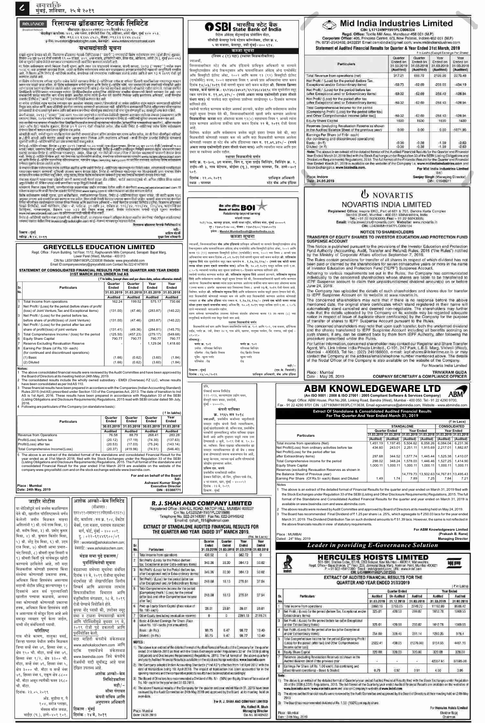वावशक्ति<br>मुंबई, शनिवार, २५ मे २०१९

| रिलायन्स ब्रॉडकास्ट नेटवर्क लिमिटेड<br><b>RELIANCE</b><br>न्तीक्षायएनः युद्धार२००एमएच२००५पीएलसी१५८३५५<br>नोंदर्णीकृत कार्यालयः ४०१, ४थः मजला, इनफिनिटी लिंक रोड, ओशिवरा, अधेरी पश्चिम, मुंबई ४०० ०५३.<br><b>Republiciat Network</b><br>कोन: +९१ २२ ६२४५ ८५८५, केंबस: +९१२२ ६२४५ ८५८८<br>इ-मेल: investors@radiobigfm.com, वेबसाईट: www.reliancebroadcast.com<br>सभासदांसाठी सूचना                                                                                                                                                                                                                                                                                                                                                                                           | <b>O SBI</b> आरतीय स्टेट बैंक<br><b>O SBI</b> state Bank of India<br>रिटेल ॲसेटस् सेंट्रलाईज्ड प्रोसेसिंग सेंटर,<br>सीबीडी बेलापूर रेल्वे स्टेशन कॉम्प्लेक्स, टॉवर क्र ४,<br>५ वा मजला, बेलापूर, नवी मुंबई-४०० ६१४.<br>कब्जा सूचना                                                      | Mid India Industries Limited<br>CIN: L17124MP1991PLC006324<br>Regd. Office: Textile Mill Area, Mandsaur-458 001 (M.P.)<br>Corporate Office: 405, Princess Centre, 6/3, New Palasia, Indore-452 001 (M.P.)<br>Ph. 0731-2543402, 2433231 Email:csmidindia@gmail.com, www.midindiaindustries.com<br>Statement of Audited Financial Results for Quarter & Year Ended 31st March, 2019                                                                                                                                                   |                                   |                                   |                                                                          |                                |
|----------------------------------------------------------------------------------------------------------------------------------------------------------------------------------------------------------------------------------------------------------------------------------------------------------------------------------------------------------------------------------------------------------------------------------------------------------------------------------------------------------------------------------------------------------------------------------------------------------------------------------------------------------------------------------------------------------------------------------------------------------------------------|-----------------------------------------------------------------------------------------------------------------------------------------------------------------------------------------------------------------------------------------------------------------------------------------|-------------------------------------------------------------------------------------------------------------------------------------------------------------------------------------------------------------------------------------------------------------------------------------------------------------------------------------------------------------------------------------------------------------------------------------------------------------------------------------------------------------------------------------|-----------------------------------|-----------------------------------|--------------------------------------------------------------------------|--------------------------------|
| याद्वारे सूचना देण्यात यते की, रिलायन्स ब्रॉडकास्ट नेटवर्क लिमिटेडच्या ("कंपनी") सभासदांची विशेष सर्वसाधारण समा (ईओजीएम) शुक्रवार,<br>दिनाक ०७ जून २०१९ रोजी सकाळी ११.०० वाजाता, ४०१, ४था मजला, इन्फिनिटी मॉल, लिंक रोड, ओशिवता,                                                                                                                                                                                                                                                                                                                                                                                                                                                                                                                                           | (नियम ८ (१) पहा) (स्थावर मिळकतीकरिता)<br>ज्याअर्थी.<br>निम्नस्वाक्षरीकार स्टेट बँक ऑफ इंडियाचे प्राधिकृत अधिकारी या नात्याने                                                                                                                                                            | Particulars                                                                                                                                                                                                                                                                                                                                                                                                                                                                                                                         | Quarter<br>Ended on<br>31.03.2019 | Quarter<br>Ended on<br>31.03.2018 | ₹ in Lakhs (Except Earnings Per Share)<br>Year<br>Ended on<br>31.03.2019 | Year<br>Ended on<br>31.03.2018 |
| या विशेष सर्वसामारण सभये निमंत्रण देणारी सूचना आणि त्यात पार पाढाववाचे कामकाज, कंपनी कायदा, २०१३ (''कायदा'') मधील कलम<br>५०२(५) ड्या अनुषंनाणे द्याययाचे विवण, ज्यात या विशेष रार्चसामारण सभेत पार पाढावयाच्या कामकाजारांबधीची म<br>आहे. ते विवरण आणि रिमोट ई-व्होटिंगचे तपशील, कंपनीच्या सर्व सभासदांना पाठविण्यात आलेले आहेत आणि हे काम १३ मे २०१९ रोजी पूर्ण                                                                                                                                                                                                                                                                                                                                                                                                            | सिक्युरिटायझेशन ॲन्ड रिकन्स्ट्रक्शन ऑफ फायनान्शिअल ॲसेटस् ॲन्ड एन्फोर्समेंट                                                                                                                                                                                                             |                                                                                                                                                                                                                                                                                                                                                                                                                                                                                                                                     | (Audited)                         | (Audited)                         | (Audited)                                                                | (Audited)                      |
| करण्यात आलेले आहे.                                                                                                                                                                                                                                                                                                                                                                                                                                                                                                                                                                                                                                                                                                                                                         | ऑफ सिक्युरिटी इंटरेस्ट ॲक्ट, २००२ आणि कलम १३ (१२) सिक्युरिटी इंटरेस्ट                                                                                                                                                                                                                   | Total Revenue from operations (net)                                                                                                                                                                                                                                                                                                                                                                                                                                                                                                 | 317.21                            | 666.72                            | 2128.26                                                                  | 2270.48                        |
| या विशेष सर्वसाधारण सभेच्या सूचनेत उल्लेख केलेले कानकाज रिसेट ई-व्हॉटिंगच्या तसेच या सभेच्या ठिकाणी मतपत्रिकांच्या माध्यमातून मतदान<br>करून पार पाठले जाऊ शकेल. या विशेष सर्वसाधारण सभेची सूचना आणि रिमोट ई–व्होटिंग फॉर्म, ज्वा सभासदांचे पत्ते कंपनीकडे गोंदवलेले आहेत<br>त्यांना प्रत्यक्ष रूपाने पाठविण्यात आलेले आहेल. ज्या समासदांनी त्यांचे ई—मेल पत्ते कपनीकडे आतापर्यंत नोदवलले नाहीत त्यांना ले. त्यांच्या संबंधित                                                                                                                                                                                                                                                                                                                                               | (एन्फोर्समेंट) रूल्स, २००२ सहवाचता नियम ९ अन्वये प्राप्त अधिकारांचा वापर करून<br>दिनांक १४/०३/२०१९ रोजी मागणी सूचना जारी करून कर्जदार श्री. विलास क्रिष्णा                                                                                                                              | Net Profit / (Loss) for the period (before Tax,<br>Exceptional and/or Extraordinary items)<br>Net Profit / (Loss) for the period before tax                                                                                                                                                                                                                                                                                                                                                                                         | $-59.73$                          | $-62.69$                          | $-259.05$                                                                | $-434.19$                      |
| विपोकिटरी पार्टिसिपटच्या माध्यमातून त्यांच्या ठिपोक्रिटरीकडील इलेक्ट्रॉनिक डोल्डिंगच्या बाबतीत नॉदवण्याची विनती करण्यात येत आहे. ज्या<br>सभासदांनी प्रत्यक्ष रूपातील भाग धारण केलेले असतील त्यांना त्यांचे ई-नेल पत्ते कंपनीचे निबंधक आणि हस्तांतरण अभिकर्ता, कार्यी फिनटेक<br>प्रायय्वेट लिमिटेड ( ''कार्वी'') यांच्याकडे नोंदवण्याची चिनंती करण्यात येत आहे.                                                                                                                                                                                                                                                                                                                                                                                                             | पडवळ, कर्ज खाता क्र.: ६५२३६८३७५४९/६५२३६८४३६९८ यांस सूचनेतील नमूद<br>रक्कम म्हणजेच रु. ११,७९,३१५/- (रुपये अकरा लाख एकोणऐंशी हजार तीनशे                                                                                                                                                   | (after Exceptional and/ or Extraordinary items)<br>Net Profit/ (Loss) for the period after tax                                                                                                                                                                                                                                                                                                                                                                                                                                      | $-59.32$                          | $-62.69$                          | $-258.43$                                                                | $-428.94$                      |
| या सभेस जपस्थित राहन नात्वान करण्यास पान असलेला सभाराद त्याच्या/तिध्याऐक्जी या रूभेस उपस्थित राहन नतावान करण्यासाठी प्रतिनिधी<br>नियुक्त करू शोक्त आणि असा प्रतिनिधी कंपनीचा सभासद असण्याची आवश्यकता नाही. प्रतिनिधित्व करण्यासाठी दिलेले अधिकारपत्र परिणामकारक                                                                                                                                                                                                                                                                                                                                                                                                                                                                                                            | पंधरा मात्र) ची परतफेड सदर सूचनेच्या प्राप्तीच्या तारखेपासून ६० दिवसांत करण्यास<br>सांगितले होते.                                                                                                                                                                                       | (after Exceptional and/ or Extraordinary items)                                                                                                                                                                                                                                                                                                                                                                                                                                                                                     | $-59.32$                          | $-62.69$                          | $-258.43$                                                                | $-428.94$                      |
| उलवासाठी ते योग्य प्रकारे पूर्ण करून आणि सही करून कंपनीच्या नोंदणीकृत कार्यालयात ही सभा सुरू होण्यापूर्वी ४८ तारसंपूर्वी जन्म केले पाहिजे.<br>कंपनी काढदा, २०१३ (''कायदा'')च्या कलम १०८च्या अनुपंगाने व त्यासोबत बेळोबेळी सुधारणा करण्यात आलेल्या कंपन्या (य्यवस्थापन आणि                                                                                                                                                                                                                                                                                                                                                                                                                                                                                                  | रकमेची परतफेड करण्यास कर्जदार असमर्थ ठरल्याने, कर्जदार आणि सर्वसामान्य जनतेस<br>याद्वारे सूचना देण्यात येते की, निम्नस्वाक्षरीकारांनी खाली वर्णन करण्यात आलेल्या                                                                                                                        | Total Comprehensive Income for the period<br>(Comprising Profit/ (Loss) for the period (after tax)<br>and Other Comprehensive Income (after tax)]                                                                                                                                                                                                                                                                                                                                                                                   | $-59.32$                          | $-62.69$                          | $-258.43$                                                                | $-428.94$                      |
| प्रशासन) नियम, २०१४ मधील नियम २०च्या सहवाचनांतर्गत कंपनी आपल्या सभासदांना रिमोट ई-व्होटिंगची सुविधा उपलब्ध करून देत आहे.                                                                                                                                                                                                                                                                                                                                                                                                                                                                                                                                                                                                                                                   | मिळकतीचा कब्जा सदर ॲक्टच्या कलम १३(४) सहवाचता नियम ९ अन्वये त्यांना                                                                                                                                                                                                                     | Equity Share Capital                                                                                                                                                                                                                                                                                                                                                                                                                                                                                                                | 1630                              | 1630                              | 1630                                                                     | 1630                           |
| ज्या व्यक्तीचे नाव राभासद नोंदवहीत किया डिपॉडिस्टरिजकडील लाभार्थी मालकांच्या नोंदवहीत (इलेक्ट्रॉनिक भागधारणेच्या बाबतीत), अंतिम तारखेल<br>(कट-ऑफ डेट) म्हणजेब शुक्रवार, दिनांवा ३१ मे २०१९ रोजी नोंदवलेले असेल, तीम व्यक्ती रिमोट ई-व्होटिंगच्या ततेच विशेष सर्वसाधारण<br>संभेच्या ठिवाणी मतदान करण्याच्या सुविधेस पात्र असेल                                                                                                                                                                                                                                                                                                                                                                                                                                              | प्रदान करण्यात आलेल्या शक्तींचा वापर करून दिनांक २२ मे, २०१९ रोजी घेतला                                                                                                                                                                                                                 | Reserves (excluding Revaluation Reserve as shown<br>in the Audited Balance Sheet of the previous year)                                                                                                                                                                                                                                                                                                                                                                                                                              | 0.00                              | 0.00                              | 0.00                                                                     | $-1871.95$                     |
| कोणतीही व्यक्ती. सभेत्री सूचना पाठविल्यानंतर कंपनीची सभासद होउन्न अंतिम तारखेस भाग धारण करीत असेल, तर ती तिचा नोदणीकृत फोलिओ<br>क / डीपी आधड़ी आणि क्लाएंट आधड़ी यांचा उलख करून निर्बधक आणि हस्तांतरण अभिकर्ता -कार्ती फिनटेक प्रायव्हेट लिमिटेड यांच्याकड<br>सूचनेची आणि ई–व्होटिंग फॉर्मची प्रत प्राप्त करण्याशाठी कळवू शकेल                                                                                                                                                                                                                                                                                                                                                                                                                                             | विशेषत: कर्जदार आणि सर्वसामान्य जनतेस याद्वारे इशारा देण्यात येतो की, सदर<br>मिळकतीशी कोणताही व्यवहार करू नये आणि सदर मिळकतीशी करण्यात आलेला<br>कोणताही व्यवहार हा स्टेट बँक ऑफ इंडियाच्या रक्कम रु. ११,७९,३१५/- (रुपये                                                                 | Earnings Per Share (of ₹10/- each)<br>(for continuing and discontinued operations)<br>Basic: (in ?)                                                                                                                                                                                                                                                                                                                                                                                                                                 | $-0.36$                           | $-0,38$                           | $-1.59$                                                                  | $-2.63$<br>$-2.63$             |
| रिमोट ई~म्होटिंग सोमवार, दिनांक ०३ जून २०१९ (सकाळी १०.०० मापने) सुरू होऊन गुरुवार, दिनांक ०६ जून २०१९ रोजी (सायकाळी ५.००<br>भापने) संपेल, ज्यानंतर रिमोट ई~स्वॉटिंगसाठी परवानगी देण्यात येणार नाही. रिमोट ई~म्होटिंग कार्योकवून<br>नाही रिमोट ई-फोर्टिंग ऐस्क्रिक आहे. मत देण्याच्या पद्धतीसंबंधीचे तपशील, कंपनीच्या सकेतरथळावर म्हणजेय www.reliancebroadcast.com<br>यर आणि रिमोट ई-प्होटिंग एक्न्मीच्या संवेतस्थळावर, म्हणजेच https://evoting.karvy.com वर प्रदर्शित करण्यात आलेल्या विशेष सर्वसाधारण<br>समंज्या रखनद दण्यात आलल आहत.<br>जे सभासद विशेष सर्वसाधारण सभेस उपस्थित राहतील आणि ज्यांनी रिमोट ई–व्होटिंगच्या माध्यमातून मत दिलेले नसेल, त्यांच्यासाठी मतपबिकांच्या<br>माध्यमातून मतदान करण्याची सुविधाही उपलब्ध करून देण्यात येईल. रिमोट ई–व्होटिंगच्या माध्यम | अकरा लाख एकोणऐंशी हजार तीनशे पंधरा मात्र) आणि त्यावरील व्याज आणि इतर<br>प्रभार या रकमेच्या अधीन राहील<br>स्थावर मिळकतीचे वर्णन<br>फ्लॅट क्र. ए-३०६, ३रा मजला, विंग ए, पूजा प्राईड बिल्डिंग, बिल्डिंग क्र. २,<br>टाईप-सी ३, गाव बेटेगाव, बोईसर (पू.), तालुका पालघर, जि. ठाणे-४०१<br>408. | Diluted: (in ₹)<br>Note: The above is an extract of the detailed format of the Audited Financial Results for the Quarter and Financia<br>Year Ended March 31,2019 filed with the Stock Exchange under Regulation 33 of the SEBI (Listing Obligations and<br>Disclosure Requirements) Regulations, 2015. The full format of the Financial Results for the Quarter and Financial<br>Year Ended March 31, 2019 is available on the website of the Company i.e. www.midindiaindustries.com and<br>Stock Exchange i.e. www.bseindia.com. | $-0.36$                           | $-0.38$                           | $-1.59$<br>For Mid India Industries Limited                              |                                |
| संचालक मंडळाने मतदानाच्या प्रक्रियेची छाननी करण्यासाठी मेसर्स दयाल अँड लोडिया, चार्टर्स अकाउाटट्सचे श्री. अनिल लोडिया किंवा त्यांच्या                                                                                                                                                                                                                                                                                                                                                                                                                                                                                                                                                                                                                                      | प्राधिकृत अधिकारी<br>दिनांक : २२.०५.२०१९                                                                                                                                                                                                                                                | Place: Indore<br>Date: 24.05.2019                                                                                                                                                                                                                                                                                                                                                                                                                                                                                                   |                                   |                                   | Sd/-<br>Sanjay Singh (Managing Director)<br>DIN: 01548011                |                                |
| अनुपस्थितीत श्री. शिंकेत उद्याट गांची छाननीकार म्हणून नियुक्ती केलेली आहे.<br>गतदानाचे निकाल (वाच दिवशी, छाननीकारांच्या अहकलासह जाहीर करण्यात येतील आणि ते कंपनीच्या www.reliancebroadcast.com या                                                                                                                                                                                                                                                                                                                                                                                                                                                                                                                                                                          | स्टेट बँक ऑफ इंडिया<br>  स्थळ : पालघर                                                                                                                                                                                                                                                   |                                                                                                                                                                                                                                                                                                                                                                                                                                                                                                                                     |                                   |                                   |                                                                          |                                |
| सफेतर चळावर आणि कार्यी मिन्नटेक प्राचयहेट लिमिटे डच्या www.karvy.com या संकेतर चळावर अपलोड करण्यात येतील.                                                                                                                                                                                                                                                                                                                                                                                                                                                                                                                                                                                                                                                                  |                                                                                                                                                                                                                                                                                         | <b>U</b> NOVARTIS                                                                                                                                                                                                                                                                                                                                                                                                                                                                                                                   |                                   |                                   |                                                                          |                                |
| विशेष सर्वसाधारण समेवी सूचना, इतर बार्बेबरोबरच, स्पष्टीकरणात्मक विवरण, रिमोट ई-कोटिंगसाडीच्या सूचना यांसह, जी व्यक्ती कलम १३६<br>आनुसार अन्यथा असे दस्तऐनज प्राप्त करण्यास पात्र असेल, तिला लेखी मिनती कल्यास उपलब्ध करून दिली ज                                                                                                                                                                                                                                                                                                                                                                                                                                                                                                                                           | dist affect (SO)                                                                                                                                                                                                                                                                        | NOVARTIS INDIA LIMITED                                                                                                                                                                                                                                                                                                                                                                                                                                                                                                              |                                   |                                   |                                                                          |                                |
|                                                                                                                                                                                                                                                                                                                                                                                                                                                                                                                                                                                                                                                                                                                                                                            | Relationship beyond banking                                                                                                                                                                                                                                                             | Registered Office: Inspire BKC, Part of 601 & 701, Bandra Kurla Complex<br>Bandra (East), Mumbai - 400 051 Maharashtra, India                                                                                                                                                                                                                                                                                                                                                                                                       |                                   |                                   |                                                                          |                                |
| रिमोट ई-व्हॉटिंगशी संबंधित शंका/लक्षाती श्री. आंक्रिप चॅटर्जी, या संवालक मंडलाने अधिकृत कलेल्या व्यक्तीस कंपनीच्या नोंदणीकृत कार्यालयतचा<br>पश्यायर पातवता येतील किया investors@radiobigfm.com यर ई-भेलच्या माध्यमातून पातवता येतील.                                                                                                                                                                                                                                                                                                                                                                                                                                                                                                                                       | मांडवी शाखा<br>२८१/२८७, कानमूर हाऊस, नरसी नाथा स्ट्रीट, मस्जिद बंदर, मुंबई ४००००९                                                                                                                                                                                                       | Tel.: +91 22 50243000; Fax: + 91 22 50243005;<br>Email: india.investors@novartis.com; Website: www.novartis.in                                                                                                                                                                                                                                                                                                                                                                                                                      |                                   |                                   |                                                                          |                                |
| रिलायन्य ब्रॉडकास्ट नेटवर्क लिमिटेबकॉरता                                                                                                                                                                                                                                                                                                                                                                                                                                                                                                                                                                                                                                                                                                                                   | दुर : २३७५०१०७–०८, फॅक्स : २३७५१६००/२३७५००१३                                                                                                                                                                                                                                            | CIN: L24200MH1947PLC006104                                                                                                                                                                                                                                                                                                                                                                                                                                                                                                          |                                   |                                   |                                                                          |                                |
| विकाण: मुंबई<br>आशिष चॅटर्सी                                                                                                                                                                                                                                                                                                                                                                                                                                                                                                                                                                                                                                                                                                                                               | इमेल: Mandvi.MumbaiSouth@bankofindia.co.in                                                                                                                                                                                                                                              | <b>NOTICE TO SHAREHOLDERS</b>                                                                                                                                                                                                                                                                                                                                                                                                                                                                                                       |                                   |                                   |                                                                          |                                |
| मुख्य विश्व अधिकारी<br>गारिख: में १४, २०१९                                                                                                                                                                                                                                                                                                                                                                                                                                                                                                                                                                                                                                                                                                                                 | कब्जा सूचना                                                                                                                                                                                                                                                                             | TRANSFER OF EQUITY SHARES TO INVESTOR EDUCATION AND PROTECTION FUND<br><b>SUSPENSE ACCOUNT</b>                                                                                                                                                                                                                                                                                                                                                                                                                                      |                                   |                                   |                                                                          |                                |
| <b>GREYCELLS EDUCATION LIMITED</b><br>Regd. Office: Forum Building, 1st Floor, 11/12, Raghuvanshi Mills Compound, Senapati Bapat Marg,                                                                                                                                                                                                                                                                                                                                                                                                                                                                                                                                                                                                                                     | ज्याअर्थी, निम्नस्वाक्षरीकार <b>बँक ऑफ इंडियाचे</b> प्राधिकृत अधिकारी या नात्याने सिक्युरिटायझेशन ॲन्ड<br>रिकन्स्ट्रक्शन ऑफ फायनान्शिअल ॲसेटस् ॲन्ड एन्फोर्समेंट ऑफ सिक्युरिटी इंटरेस्ट ॲक्ट, २००२ आणि                                                                                  | This Notice is published pursuant to the provisions of the Investor Education and Protection<br>Fund Authority (Accounting, Audit, Transfer and Refund) Rules, 2016 ("the Rules") notified                                                                                                                                                                                                                                                                                                                                          |                                   |                                   |                                                                          |                                |
| Lower Parel (West), Mumbai - 400 013                                                                                                                                                                                                                                                                                                                                                                                                                                                                                                                                                                                                                                                                                                                                       | कलम १३ (१२) सहवाचता सिक्युरिटी इंटरेस्ट (एन्फोर्समेंट) रूल्स, २००२ च्या नियम ८ अन्वये प्राप्त<br>अधिकारांचा वापर करून दिनांक ०१.०२.२०१९ रोजी मागणी सूचना जारी करून कर्जदार श्री. शशिकांत                                                                                                | by the Ministry of Corporate Affairs effective September 7, 2016.                                                                                                                                                                                                                                                                                                                                                                                                                                                                   |                                   |                                   |                                                                          |                                |
| CIN No: L65910MH1983PLC030838 Website: www.greycellsltd.com<br>Email ID:companysecretary@greycellsltd.com Contact No.022-61479918                                                                                                                                                                                                                                                                                                                                                                                                                                                                                                                                                                                                                                          | रघनाथ शिंदे यांस सूचनेतील नमूद रक्कम म्हणजेच रु. १,१७,१६,१२७/- (रुपये एक कोटी सतरा<br>लाख सोळा हजार एकशे सत्तावीस मात्र) अधिक दि. २०.०१.२०१९ पासून मासिक दराने द.सा.                                                                                                                    | The Rules contain provisions for transfer of all shares in respect of which dividend has not<br>been paid or claimed by the shareholders for seven consecutive years or more in the name                                                                                                                                                                                                                                                                                                                                            |                                   |                                   |                                                                          |                                |
| STATEMENT OF CONSOLIDATED FINANCIAL RESULTS FOR THE QUARTER AND YEAR ENDED                                                                                                                                                                                                                                                                                                                                                                                                                                                                                                                                                                                                                                                                                                 | ८.५०% व्याजाची परतफेड सदर सूचना प्राप्तीच्या ६० दिवसांत करण्यास सांगितले होते.                                                                                                                                                                                                          | of Investor Education and Protection Fund ("IEPF") Suspense Account.<br>Adhering to various requirements set out in the Rules, the Company has communicated                                                                                                                                                                                                                                                                                                                                                                         |                                   |                                   |                                                                          |                                |
| 31ST MARCH 2019, UNDER Ind AS<br>(₹ In lakhs, (except share and per share data, unless otherwise stated)                                                                                                                                                                                                                                                                                                                                                                                                                                                                                                                                                                                                                                                                   | .<br>रकमेची परतफेड करण्यास कर्जदार श्री. शशिकांत रघुनाथ शिंदे असमर्थ ठरल्याने, शशिकांत रघुनाथ<br>शिंदे आणि सर्वसामान्य जनतेस याद्वारे सूचना देण्यात येते की, निम्नस्वाक्षरीकारांनी खाली वर्णन करण्यात                                                                                   | individually to the concerned shareholders whose shares are liable to be transferred to                                                                                                                                                                                                                                                                                                                                                                                                                                             |                                   |                                   |                                                                          |                                |
| Year<br>Quarter<br>Year<br>Quarter                                                                                                                                                                                                                                                                                                                                                                                                                                                                                                                                                                                                                                                                                                                                         | आलेल्या  मिळकतीचा <b>कब्जा</b> त्यांना प्रदान करण्यात आलेल्या शक्तींचा वापर करून सदर ॲक्टच्या कलम<br>१३च्या कलम ४ अंतर्गत  सहवाचता सदर नियमाच्या नियम ८ अन्वये <b>२३ मे, २०१९</b> रोजी घेतला आहे.                                                                                       | IEPF Suspense account to claim their unpaid/unclaimed dividend amount(s) on or before<br>June 24, 2019.                                                                                                                                                                                                                                                                                                                                                                                                                             |                                   |                                   |                                                                          |                                |
| <b>Particulars</b><br><b>Ended</b><br><b>Ended</b><br>Ended<br>∥Sr<br>Ended<br>No.<br>31.03.2019 31.03.2018 31.03.2019 31.03.2018                                                                                                                                                                                                                                                                                                                                                                                                                                                                                                                                                                                                                                          | विशेषत: कर्जदार श्री. शशिकांत रघनाथ शिंदे आणि सर्वसामान्य जनतेस याद्रारे इशारा देण्यात येतो की.                                                                                                                                                                                         | The Company has uploaded the details of such shareholders and shares due for transfer                                                                                                                                                                                                                                                                                                                                                                                                                                               |                                   |                                   |                                                                          |                                |

प्रति,

पॅनकार्ड क्लब्ज लिमिटेड

 $\overline{H}$ बई - ४०००२५.

सेंच्युरी भवन जवळ, प्रभादेवी,

१११-११३, कल्याणदास उद्योग भवन,

कंपनी याचिका

क्र. २९६५ सन २०१८

<mark>ज्याअर्थी,</mark> प्रवर्तकीय कर्जाच्या वसुलीसाठी नामदार राष्ट्रीय कंपनी विधी न्यायाधिकरण, मुंबई खंडपीठासमोर श्री. सचिन शाह, प्रवर्तकीय ्<br>धनकोंनी तुमच्याविरूद्ध वरील याचिका दाखल केली आहे आणि तुम्हाला याद्वारे त्यास उत्तर देण्यासाठी ४ जुलै, २०१९ रोजी स. १०.३० वा. व्यक्तिशः किंवा एखाद्या वकिलामार्फत ह्या नामदार न्यायाधिकरणात डी बी बेंच । समक्ष हजर होण्यासाठी समन्स बजावण्यात येत आहे,

कसूर केल्यास, त्याच्या खर्च आणि परिणामांची

डेक्कन बिल्डिंग, बी विंग, युनियन पार्क रोड,

४ था मजला, खार, मुंबई - ४०००५२

जोखीम तुमच्यावर असेल.

प्रवर्तकीय धनकोंसाठी वकील

दिनांक : २३ मे, २०१९

ठिकाण ः मुंबई

प्रविण एस. वारपे

| NO.            |                                                             | 31.03.2019     |                | 31.03.2018 31.03.2019 | 31.03.2018     |
|----------------|-------------------------------------------------------------|----------------|----------------|-----------------------|----------------|
|                |                                                             | <b>Audited</b> | <b>Audited</b> | <b>Audited</b>        | <b>Audited</b> |
| 1              | Total Income from operations                                | 162.24         | 199.52         | 575.17                | 730.66         |
| 2              | Net Profit / (Loss) for the period (before share of profit/ |                |                |                       |                |
|                | (loss) of Joint Venture, Tax and Exceptional items)         | (131.00)       | (47.46)        | (283.87)              | (140.22)       |
| $\overline{3}$ | Net Profit / (Loss) for the period before tax,              |                |                |                       |                |
|                | before share of profit/(loss) of Joint Venture)             | (131.00)       | (47.46)        | (283.87)              | (140.22)       |
| 4              | Net Profit / (Loss) for the period after tax and            |                |                |                       |                |
|                | share of profit/(loss) of joint venture                     | (131.41)       | (49.36)        | (284.81)              | (145.75)       |
| 5              | Total Comprehensive Income / (loss) for the period          | (125.50)       | (457.23)       | (279.17)              | (549.68)       |
| 6              | <b>Equity Share Capital</b>                                 | 790.77         | 790.77         | 790.77                | 790.77         |
| 7              | <b>Reserve Excluding Revaluation Reserve</b>                |                |                | 1,129.04              | 1,418.60       |
| 8              | Earning Per Share (of Rs.10/- each)                         |                |                |                       |                |
|                | (for continued and discontinued operations)                 |                |                |                       |                |
|                | $(1)$ Basic                                                 | (1.66)         | (0.62)         | (3.60)                | (1.84)         |
|                | (2) Diluted                                                 | (1.66)         | (0.62)         | (3.60)                | (1.84)         |

#### Notes:

1 The above consolidated financial results were reviewed by the Audit Committee and have been approved by the Board of Directors at its meeting held on 24th May, 2019.

2 The consolidated results include the wholly owned subsidiary - EMDI (Overseas) FZ LLC, whose results have been consolidated as per Ind AS 110.

These financial results have been prepared in accordance with the Companies (Indian Accounting Standard) Rules 2015 (Ind AS) prescribed under Section 133 of the Companies Act, 2013. The date of transition to Ind AS is 1st April, 2016. These results have been prepared in accordance with Regulation 33 of the SEBI (Listing Obligations and Disclosure Requirements) Regulations, 2015 read with SEBI circular dated 5th July, 2016.

Following are particulars of the Company (on standalone basis):

|                    |                                   |                         |                         |                         | ं ₹ In lakhs)        |
|--------------------|-----------------------------------|-------------------------|-------------------------|-------------------------|----------------------|
| <b>Particulars</b> |                                   | Quarter<br><b>Ended</b> | Quarter<br><b>Ended</b> | Quarter<br><b>Ended</b> | Year<br><b>Ended</b> |
|                    |                                   | 30.03.2019              | 31.03.2018              | 30.03.2019 31.03.2018   |                      |
|                    |                                   | <b>Audited</b>          | <b>Audited</b>          | <b>Audited</b>          | <b>Audited</b>       |
|                    | <b>Revenue from Operations</b>    | 76.58                   | 88.79                   | 268.41                  | 283.28               |
|                    | Profit/(Loss) before tax          | (20.12)                 | (17.19)                 | (74.30)                 | (137.63)             |
|                    | Profit/(Loss) after tax           | (20.53)                 | (17.03)                 | (75.24)                 | (143.14)             |
|                    | Total Comprehensive Income/(Loss) | (20.37)                 | (419.96)                | (74.51)                 | (546.40)             |

5 The above is an extract of the detailed format of the standalone and consolidated Financial Result for the year ended as at 31st March 2018, filed with the Stock Exchanges under the Regulation 33 of the SEBI (Listing Obligations and Disclosure Requirements) Regulations, 2015. The Full format of the standalone and consolidated Financial Result for the year ended 31st March 2019 are available on the website of the company www.greycellsltd.com and on the stock exchange website www.bseindia.com.

For and on behalf of the Board

Ashwani Kumar Singh

**Executive Director** 

DIN: 03388771

 $Sd$ 

Place : Mumbai Date: 24th May, 2019

|                                                                    |                                                                  |            |                                                                                                                                                                                                          |                  |                                             |               |                          |                                                                                                                             | the Stock Exchanges under Regulation 33 of the SEBT (Listing and Other Disclosure Requirements) Regulations, 2015. The full                                                                                                                                                                         |            |            |            |                               |                             |
|--------------------------------------------------------------------|------------------------------------------------------------------|------------|----------------------------------------------------------------------------------------------------------------------------------------------------------------------------------------------------------|------------------|---------------------------------------------|---------------|--------------------------|-----------------------------------------------------------------------------------------------------------------------------|-----------------------------------------------------------------------------------------------------------------------------------------------------------------------------------------------------------------------------------------------------------------------------------------------------|------------|------------|------------|-------------------------------|-----------------------------|
| जाहीर नोटीस                                                        | अशोक अल्को-केम लिमिटेड                                           |            | R. J. SHAH AND COMPANY LIMITED                                                                                                                                                                           |                  |                                             |               |                          |                                                                                                                             | format of the Standalone and Consolidated Audited Financial Results for the quarter and year ended on March 31, 2019 is<br>available on www.bseindia.com and www.abmindia.com.                                                                                                                      |            |            |            |                               |                             |
| या नोटिसीद्वारे सर्व जनतेस कळविण्यात                               | (सीआयएन :                                                        |            | Registered Office: MAHUL ROAD, ANTOP HILL, MUMBAI 400037                                                                                                                                                 |                  |                                             |               |                          | 2 The above results were reviwed by Audit Committee and approved by Board of Directors at its meeting held on May 24, 2019. |                                                                                                                                                                                                                                                                                                     |            |            |            |                               |                             |
| येते की, खालील परिशिष्टामध्ये वर्णन                                | एल२४११०एमएच१९९२पीएलसी०६९६१५)                                     |            | Cin No. L45202MH1957PLC010986                                                                                                                                                                            |                  |                                             |               |                          |                                                                                                                             | 3 The Board has recommended Final Dividend of ₹1.25 per share i.e. 25%, which agreegate to ₹250.03 lacs for the year ended                                                                                                                                                                          |            |            |            |                               |                             |
| केलेली जमीन मिळकत माझ्या                                           | ∣ नोंद. कार्यालय : रूम क्र. १०४, वेंकटेश <mark>∣</mark>          |            | Telephone No. 022-24148081 Fax No. 022-24149242<br>Email id: rishah_191@hotmail.com                                                                                                                      |                  |                                             |               |                          |                                                                                                                             | March 31, 2019. The Dividend Distribution Tax on such dividend amounts to ₹51.39 lacs. However, the same is not reflected in                                                                                                                                                                        |            |            |            |                               |                             |
| अशिलांनी १) श्री. राधे शाम मिश्रा, २)                              | चेंबर्स, १ला मजला, घनश्याम तळवटकर                                |            | EXTRACT OF STANDALONE AUDITED FINANCIAL RESULTS FOR                                                                                                                                                      |                  |                                             |               |                          |                                                                                                                             | the above financials results in view of statutory requirements.                                                                                                                                                                                                                                     |            |            |            |                               |                             |
| श्री. मनीष मिश्रा, ३) श्री. प्रमोद कुमार                           | मार्ग, फोर्ट, मुंबई - ४०० ००१.                                   |            | THE QUARTER AND YEAR ENDED 31 <sup>37</sup> MARCH 2019.                                                                                                                                                  |                  |                                             |               |                          |                                                                                                                             |                                                                                                                                                                                                                                                                                                     |            |            |            | For ABM Knowledgeware Limited | (Prakash B. Rane)           |
| मिश्रा, ४) श्री. कुषाल किशोर मिश्रा,                               | द्. : ०२२-६१४४६९००/०१                                            |            |                                                                                                                                                                                                          |                  |                                             |               | (Rs. In Lacs)            |                                                                                                                             | Place: MUMBAI<br>Dated: 24 <sup>th</sup> May, 2019                                                                                                                                                                                                                                                  |            |            |            |                               | <b>Managing Director</b>    |
| $\vert$ ५) श्री. नरेंद्र देव मिश्रा, ६) श्री. उदय $\vert$          | ईमेल : secretarial@ashokalcochem.com;                            |            |                                                                                                                                                                                                          | Quarter<br>Ended | Quarter<br>Ended                            | Year<br>Ended | Year<br>Ended            |                                                                                                                             | <b>Leader in providing E-Governance Solution</b>                                                                                                                                                                                                                                                    |            |            |            |                               |                             |
| राज मिश्रा, ७) श्रीमती आभा प्रभात-                                 | वेबसाईट: www.ashokalcochem.com;                                  | Sr.<br>No. | Particulars                                                                                                                                                                                              |                  | 31.03.2019 31.03.2018 31.03.2019 31.03.2018 |               |                          |                                                                                                                             |                                                                                                                                                                                                                                                                                                     |            |            |            |                               |                             |
| चंद त्रिपाठी, ८) श्रीमती शुभा तिवारी व                             | मंडळ सभा पूढे ढकलण/                                              |            | Total income from operations                                                                                                                                                                             | 439.92           |                                             | 562.72        |                          |                                                                                                                             | <b>HERCULES HOISTS LIMITED</b>                                                                                                                                                                                                                                                                      |            |            |            |                               |                             |
| ┃९) श्रीमती किर्ती दुबे यांचेकडून खरेदी                            | पुनर्निश्चितेची सूचना                                            |            | Net Profit/ (Loss) for the Period (before                                                                                                                                                                | 346.36           | 22.30                                       | 384.13        | 50.02                    |                                                                                                                             | 501-504, Shelton Cubix, 87/15, CBD Belapur, Navi Mumbai - 400614, Maharashtra                                                                                                                                                                                                                       |            |            |            |                               | iațaj group                 |
| करण्याचे ठरविलेले आहे, तरी सदर                                     |                                                                  |            | tax; Exceptional and/or Extra-ordinary items)                                                                                                                                                            |                  |                                             |               |                          |                                                                                                                             | Regd. Office - Bajaj Bhavan, 2* Floor, 226, Jamnalal Bajaj Marg. Nariman Point, Mumbal 400021<br>P: + 91 022-45417300; Email: indef@indef.com; URL: www.indef.com<br>CIN: L45400MH1962PLC012385                                                                                                     |            |            |            |                               |                             |
| मिळकतीवर कोणाही इसमाचा किंवा                                       | मंडळाच्या सभेच्या सूचनेचा संबंधित <b> </b>                       |            | Net Profit/ (Loss) for the Period (before tax.<br>after Exceptional and/or Extra-ordinary Items).                                                                                                        | 346.36           | 22.30                                       | 384.13        | 50.02                    |                                                                                                                             | <i><b>Indet</b></i>                                                                                                                                                                                                                                                                                 |            |            |            |                               |                             |
| संस्थेचा कोणत्याही प्रकारचा हक्क,<br>अधिकार किंवा हितसंबंध असल्यास | ∫दिनांक २२ मे, २०१९ रोजीचा सूचनेचा                               |            | Net Profit / (Loss) for the period (after tax                                                                                                                                                            |                  |                                             |               |                          |                                                                                                                             | EXTRACT OF AUDITED FINANCIAL RESULTS FOR THE                                                                                                                                                                                                                                                        |            |            |            |                               |                             |
| ।<br>सदरची नोटीस प्रसिद्ध झाल्यापासून १४                           | संदर्भासह जी लेखापरिक्षित वित्तीय                                |            | after Exceptional and /or Extraordinary Items)                                                                                                                                                           | 248.58           | 18.13                                       | 276,51        | 37.54                    |                                                                                                                             | QUARTER AND YEAR ENDED 31/03/2019                                                                                                                                                                                                                                                                   |            |            |            |                               | (₹ in Lakhs)                |
| दिवसांचे आत सर्व पुराव्यानिशी                                      | निष्कर्ष आणि असल्यास लाभांश                                      |            | Total Comprehensive Income for the period                                                                                                                                                                |                  |                                             |               |                          |                                                                                                                             | <b>Quarter Ended</b>                                                                                                                                                                                                                                                                                |            |            | Year Ended |                               |                             |
| खालील पत्त्यावर कळवावे, अन्यथा                                     | विचारात आणि<br>  शिफारसीकरिता                                    |            | [Comprising Profit / (Loss) for the period<br>(after tax) and other Comprehensive Income                                                                                                                 | 248.58           | 18.13                                       | 276.51        | 37.54                    | Sr.                                                                                                                         | <b>Particulars</b>                                                                                                                                                                                                                                                                                  | Audited    | Un-Audited | Audited    | Audited                       | Audited                     |
| तसा कोणाचाही कोणत्याही प्रकारचा                                    | ∥मंजुरीकरिता मंगळवार, २८ मे, २०१९                                |            | after Taxl                                                                                                                                                                                               |                  |                                             |               |                          |                                                                                                                             |                                                                                                                                                                                                                                                                                                     | 31.03.2019 | 31.12.2018 | 31.03.2018 | 31.03.2019                    | 31.03.2018                  |
| हक्क, अधिकार किंवा हितसंबंध नाही                                   | <u> </u> रोजी घेण्याचे नियोजिले होते.                            |            | Paid up Equity Share Capital (Face value of                                                                                                                                                              | 28.01            | 28.01                                       | 28.01         | 28.01                    |                                                                                                                             | Total income from operations                                                                                                                                                                                                                                                                        | 2868.16    | 2753.05    | 2749.72    | 11192.89                      | B688.42                     |
| व असल्यास तो सोडून दिला आहे असे                                    | कृपया नोंद घ्यावी की, उपरोक्त नमूद                               |            | Rs. 10/- each)<br>Other Equity (excluding revaluation reserve)                                                                                                                                           | $\mathbf{0}$     | л.                                          | 2391.18       | 2119.74                  |                                                                                                                             | Net Profit / (Loss) for the period (before Tax, Exceptional and/or<br>Extraordinary items)                                                                                                                                                                                                          | 325.01     | 420.58     | 299.87     | 1612.78                       | 1069,55                     |
| समजून व्यवहार पूर्ण केला जाईल,                                     | सिभा न टाळता येण्यासारखी कारणे<br>आणि परिस्थितीमुळे बुधवार २९ मे |            | Basic & Diluted Earnings Per Share (Face                                                                                                                                                                 |                  |                                             |               |                          |                                                                                                                             | Net Profit / (Loss) for the period before tax (after Exceptional                                                                                                                                                                                                                                    |            |            |            |                               |                             |
| याची नोंद संबंधितानी घ्यावी.                                       |                                                                  |            | value Rs. 10/- each) (not annualized)                                                                                                                                                                    |                  |                                             |               |                          |                                                                                                                             | and/or Extraordinary items)                                                                                                                                                                                                                                                                         | 325.01     | 420.58     | 299.87     | 1612.78                       | 1069.55                     |
| परिशिष्ट                                                           | २०१९ रोजी पुढे ढकलली आणि<br>पुनर्नियोजित केली.                   |            | Basic: (In Rs.)                                                                                                                                                                                          | 88.75            | 6,47                                        | 98.72         | 13.40                    |                                                                                                                             | Net Profit /(Loss) for the period after tax (after Exceptional                                                                                                                                                                                                                                      |            |            |            |                               |                             |
| गाव मौजे कामण, तालुका वसई,                                         |                                                                  |            | Diluted : (In Rs.)                                                                                                                                                                                       | 88.75            | 6.47                                        | 98.72         | 13.40                    |                                                                                                                             | and/or Extraordinary items)<br>Total Comprehensive Income for the period [Comprising Profit /                                                                                                                                                                                                       | 254.00     | 309.46     | 291.14     | 1280.35                       | 978.4                       |
| जिल्हा पालघर येथील जमीन मिळकत                                      |                                                                  |            | NOTES:                                                                                                                                                                                                   |                  |                                             |               |                          |                                                                                                                             | (Loss) for the period (after tax) and Other Comprehensive                                                                                                                                                                                                                                           | 2522.41    | 438.05     | (1276.99)  | 5154.55                       | 4461.16                     |
| जिचा सर्व्हे नंबर ७९, हिस्सा नंबर ४,                               | www.ashokalcochem.com आणि।                                       |            | 1) The above is an extract of the detailed format of Audited Fianacial Results of the Company for the quarter                                                                                            |                  |                                             |               |                          |                                                                                                                             | Income (after tax)]                                                                                                                                                                                                                                                                                 |            |            |            |                               |                             |
| क्षेत्र १५० चौ. मीटर, सर्व्हे नंबर ७९,                             | स्टॉक एक्सचेंजचे संकेतस्थळ <br>  www.bseindia.com जिथे कंपनीचे।  |            | ended 31st March 2019 as filed with the Stock Exchanges under Regulations 33 of the SEBI (Lsiting<br>Obligations and Disclosures Requirements) Regulations, 2015: The full format of the above quarterly |                  |                                             |               |                          |                                                                                                                             | Equity Share Capital                                                                                                                                                                                                                                                                                | 320.00     | 320.00     | 320.00     | 320.00                        | 320.00                      |
| हिस्सा नंबर १/२, क्षेत्र ३३०० चौ.                                  |                                                                  |            | and yearly Audited Financial Results is available on the stock exchange websites: www.bscindia.com                                                                                                       |                  |                                             |               |                          |                                                                                                                             | Reserves (excluding Revaluation Reserve) as shown in the<br>Audited Balance Sheet of the previous year                                                                                                                                                                                              |            |            |            | 42357.61                      | 37685 28                    |
| मीटर, सर्व्हे नंबर ७९, हिस्सा नंबर ५,                              | शेअर्सची यादी सूचीबद्ध आहे यावर।<br>  देखिल उपलब्ध आहे.          |            | 2) The Company adopted Indian Accounting Standards (*Ind AS*) effective from 1st April 2017 with the                                                                                                     |                  |                                             |               |                          |                                                                                                                             | Earnings Per Share (of Rs. 1.00 each) (for continuing and                                                                                                                                                                                                                                           |            |            |            |                               |                             |
| क्षेत्र ३००० चौ. मीटर व सर्व्हे नंबर                               | अशोक अल्को-केम                                                   |            | date of transaction being 1st April 2016. The impact of transaction has been accounted for in the<br>opening reserves and the comparative periods results have been restated accordingly.                |                  |                                             |               |                          |                                                                                                                             | discontinued operations) - Basic & Diluted:                                                                                                                                                                                                                                                         | 0.79       | 0.97       | 0.91       | 4.00                          | 3.06                        |
| ७९, हिस्सा नंबर ६, एकूण क्षेत्र ८८००                               | लिमिटेडकरिता                                                     |            | 3) The Board of Directors has recommended a Dividend of Rs. 5/- (50%) per Equity Share of face value of                                                                                                  |                  |                                             |               |                          | Note:                                                                                                                       |                                                                                                                                                                                                                                                                                                     |            |            |            |                               |                             |
| $\mid$ चौ. मीटर असून त्यापैकी फक्त ३६८० $\mid$                     | सही $/$ –                                                        |            | Rs. 10/-each for the year ended 31.03.2019.                                                                                                                                                              |                  |                                             |               |                          |                                                                                                                             | The above is an extract of the detailed format of Quarterly/year ended Audited Financial Results filed with the Stock Exchanges under Regulation<br>33 of the SEBI (LDDR) Regulations, 2015. The full format of the Quarterly/year ended Audited Financial Results are available on the websites of |            |            |            |                               |                             |
| चौ. मीटर.                                                          | सीमा गंगावत                                                      |            | 4) The above Financial results of the Company for the quarter and year ended March 31, 2019 have been                                                                                                    |                  |                                             |               |                          |                                                                                                                             | www.bseindia.com/www.nseindia.com and also on Company's website at www.indef.com                                                                                                                                                                                                                    |            |            |            |                               |                             |
| दिनांकः २३.०५.२०१९                                                 | कंपनी सचिव आणि                                                   |            | reviewed by the Audit Committee on 24th May 2019 and approved by the Board at its meeting held on<br>even date.                                                                                          |                  |                                             |               |                          | $-2\gamma$                                                                                                                  | The above audited financial results were reviewed by the Audit Committee and approved by the Board of Directors at their meeting held on 24th May                                                                                                                                                   |            |            |            |                               |                             |
| ॲड. सुप्रीया ए. पै                                                 | अनुपालन अधिकारी                                                  |            |                                                                                                                                                                                                          |                  | For R. J. SHAH AND COMPANY LIMITED          |               |                          |                                                                                                                             | 2019                                                                                                                                                                                                                                                                                                |            |            |            |                               |                             |
| १०४, सरोज प्लाझा,                                                  |                                                                  |            |                                                                                                                                                                                                          |                  |                                             |               | Ms. Kalindi R. Shah      |                                                                                                                             | The Board has recommended dividend of Rs. 1.50 (150%) per equity share.                                                                                                                                                                                                                             |            |            |            |                               | For Hercules Hoists Limited |
| मॅक्सस मॉल जवळ.                                                    | ठिकाण : मुंबई                                                    |            | Place: Mumbai                                                                                                                                                                                            |                  |                                             |               | <b>Managing Director</b> |                                                                                                                             | Place: Mumbai                                                                                                                                                                                                                                                                                       |            |            |            |                               | Shekhar Bajaj               |
| भाईंदर (प.), ठाणे-४०१ १०१.                                         | दिनांक : २४ मे, २०१९                                             |            | Date: 24.05.2019                                                                                                                                                                                         |                  |                                             |               | Din No. 00402482         |                                                                                                                             | Date: 24th May, 2019                                                                                                                                                                                                                                                                                |            |            |            |                               | Chairman                    |

|                                                   | र २च्या कलम ४ अंतगत-सहवायता सदर ानवमाच्या ।नयम ८ अन्वय <b>र ३ म. १०१९</b> राजा वंतला आहे.              |
|---------------------------------------------------|--------------------------------------------------------------------------------------------------------|
|                                                   | विशेषत: कर्जदार <b>श्री. शशिकांत रघनाथ शिंदे</b> आणि सर्वसामान्य जनतेस याद्वारे इशारा देण्यात येतो की, |
|                                                   | सदर मिळकतीशी कोणताही व्यवहार करू नये आणि सदर मिळकतीशी करण्यात आलेला कोणताही                            |
|                                                   | व्यवहार हा बँक ऑफ इंडिया यांस खकम रु. १,१७,१६,१२७/- (रुपये एक कोटी सतरा लाख                            |
|                                                   | सोळा हजार एकशे सत्तावीस मात्र) अधिक दि. २०.०१.२०१९ पासून मासिक दराने द.सा. ८.५०%                       |
| दराने व्याजासाठी भाराअधीन राहील.                  |                                                                                                        |
|                                                   | तारण मत्तेच्या भरण्याकरिता उपलब्ध वेळेच्या संदर्भात ॲक्टच्या कलम १३ उप-कलम (८) च्या                    |
| तरतुर्दीकडे कर्जदारांचे लक्ष वेधून घेतले जात आहे. |                                                                                                        |
|                                                   | स्थावर मिळकतीचे वर्णन                                                                                  |
|                                                   | मिळकतीचे सर्व भाग आणि विभाग समाविष्टीत फ्लॅट क्र. ९०१ आणि ९०२, ९वा मजला, डॉल्फिन्स                     |
|                                                   | प्राईड, प्लॉट क्र. २बी, सेक्टर ३४ ए, गाव ओवे, खारघर, तालुका पनवेल, जि. रायगड, नवी मुंबई -              |
| 880280                                            |                                                                                                        |
| सीमाबद्धः                                         |                                                                                                        |
| फ्लॅट क्र. ९०१                                    | फ्लॅट क्र. ९०२                                                                                         |
| उत्तरेस : गगियान्ना बिल्डिंग                      | गगियान्ना बिल्डिंग                                                                                     |
| दक्षिणेस : रोड/क्रिसेंट निवास                     | रोड/क्रिसेंट निवास                                                                                     |
| पूर्वेस : खुला प्लॉट                              | खुला प्लॉट                                                                                             |
| पश्चिमेस: रोड                                     | रोड                                                                                                    |
|                                                   | सही/-                                                                                                  |
| ठिकाण : मुंबई                                     | (एस.के. चित्रांशी)                                                                                     |
| ॑ दिनांक : २३/०५/२०१९                             | प्राधिकृत अधिकारी, बँक ऑफ इंडिया                                                                       |

ares due for transfer to IEPF Suspense Account on its website at www.novartis.in.

The concerned shareholders may note that if there is no response before the above mentioned date, the original share certificates which stand registered in their name will automatically stand cancelled and deemed non-negotiable. The shareholders may further note that the details uploaded by the Company on its website may be regarded adequate notice in respect of issue of duplicate share certificate(s) by the Company for the purpose of transfer of shares to IEPF Suspense Account pursuant to the Rules.

The concerned shareholders may note that upon such transfer, both the unclaimed dividend and the shares transferred to IEPF Suspense Account including all benefits accruing on such shares, if any, can be claimed back by them from IEPF Authority, after following the procedure prescribed under the Rules.

For further information, concerned shareholder may contact our Registrar and Share Transfer Agent, M/s. Link Intime India Private Limited., C-101, 247 Park, L.B.S. Marg, Vikhroli (West), Mumbal - 400083, Tel No.: (022) 249186000, e-mail: lepf.shares@linkintime.co.in or may contact the Company at the address/email/telephone number mentioned above. The details of the Nodal Officer of the Company is also available on the website of the Company.

For Novartis India Limited

### Place: Mumbai Date: May 25, 2019

**TRIVIKRAM GUDA COMPANY SECRETARY & COMPLIANCE OFFICER** 

# **ABM KNOWLEDGEWARE LTD**

**ABM** (An ISO 9001: 2008 & ISO 27001: 2005 Compliant Software & Services Company) Regd. Office: ABM House, Plot No.268, Linking Road, Bandra (West), Mumbai - 400 050. Tel:- 91 22 4290 9700,

Fax - 91 22 4290 9701 CIN : L67190MH1993PLC113638, Email egovernance@abmindia.com, Website - www.abmindia.com

### **Extract Of Standalone & Consolidated Audited Financial Results** For The Quarter And Year Ended March 31, 2019

|                                                       |           |                                                                   |                     |                                         |            | $(3 \nmid \mathsf{in}$ Lacs) |  |
|-------------------------------------------------------|-----------|-------------------------------------------------------------------|---------------------|-----------------------------------------|------------|------------------------------|--|
|                                                       |           | <b>STANDALONE</b>                                                 | <b>CONSOLIDATED</b> |                                         |            |                              |  |
|                                                       |           | <b>Quarter Ended</b>                                              |                     | <b>Year Ended</b>                       | Year Ended |                              |  |
| <b>Particulars</b>                                    |           | 31.03.2019 31.03.2018 31.03.2019 31.03.2018 31.03.2019 31.03.2018 |                     |                                         |            |                              |  |
|                                                       | (Audited) | (Audited)                                                         | (Audited)           | (Audited)                               | (Audited)  | (Audited)                    |  |
| Total income from operations (Net)                    | 1,451.19  | 1,197.45                                                          | 5,504.62            | 6,058.26                                | 6,084.04   | 6,231.36                     |  |
| Net Profit/(Loss) from ordinary activities before tax | 434.60    | 243.01                                                            | 2,251.11            | 1,915.69                                | 2,217.01   | 1,882.87                     |  |
| Net Profit/(Loss) for the period after tax            |           |                                                                   |                     |                                         |            |                              |  |
| after Extraordinary items)                            | 297.68    | 344.52                                                            | 1,577.74            | 1,445.44                                | 1,525.38   | 1,410.07                     |  |
| Total Comprehensive income for the period             | 298.02    | 348.24                                                            | 1,578.03            | 1,446.46                                | 1,527.25   | 1,414.90                     |  |
| Equity Share Capital                                  | 1,000.11  | 1,000.11                                                          | 1,000.11            | 1,000.11                                | 1,000.11   | 1,000.11                     |  |
| Reserves (excluding Revauation Reserves as shown in   |           |                                                                   |                     |                                         |            |                              |  |
| the Balance Sheet of Previous year)                   |           |                                                                   |                     | 14,779.73 13,502.63 14,767.81 13,495.43 |            |                              |  |
| Earning Per Share (Of Rs.5/- each) Basic and Diluted  | 1.49      | 1.74                                                              | 7.89                | 7.25                                    | 7.84       | 7.21                         |  |

#### **Notes**

1 The above is an extract of the detailed format of Financial Results for the quarter and year ended on March 31, 2019 filed with the Steck Exchanges under Pequlation 33 of the SERU Listing and Other Disclosure Pequirements) Pequlations, 2015. The full